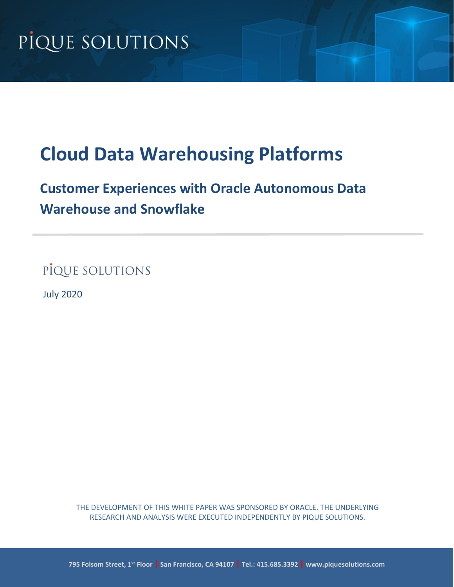# **Cloud Data Warehousing Platforms**

## **Customer Experiences with Oracle Autonomous Data Warehouse and Snowflake**

PIQUE SOLUTIONS

July 2020

THE DEVELOPMENT OF THIS WHITE PAPER WAS SPONSORED BY ORACLE. THE UNDERLYING RESEARCH AND ANALYSIS WERE EXECUTED INDEPENDENTLY BY PIQUE SOLUTIONS.

**795 Folsom Street, 1st Floor | San Francisco, CA 94107 | Tel.: 415.685.3392 | www.piquesolutions.com**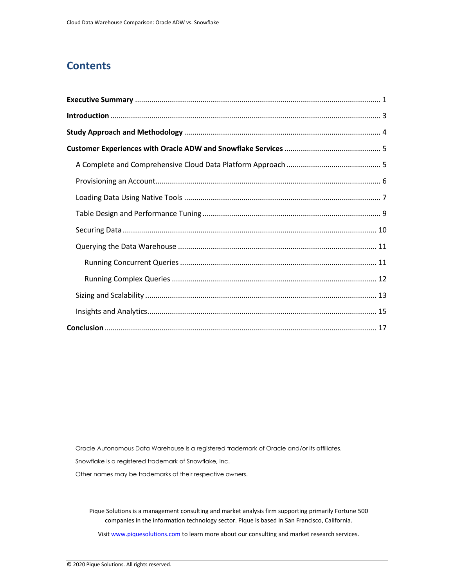### **Contents**

Oracle Autonomous Data Warehouse is a registered trademark of Oracle and/or its affiliates.

Snowflake is a registered trademark of Snowflake, Inc.

Other names may be trademarks of their respective owners.

Pique Solutions is a management consulting and market analysis firm supporting primarily Fortune 500 companies in the information technology sector. Pique is based in San Francisco, California.

Visit [www.piquesolutions.com](http://www.piquesolutions.com/) to learn more about our consulting and market research services.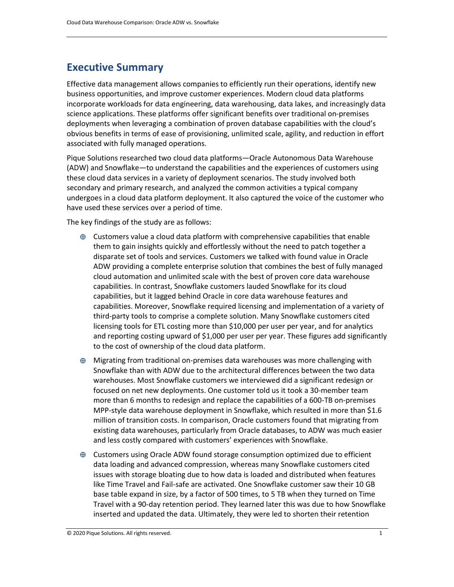## <span id="page-2-0"></span>**Executive Summary**

Effective data management allows companies to efficiently run their operations, identify new business opportunities, and improve customer experiences. Modern cloud data platforms incorporate workloads for data engineering, data warehousing, data lakes, and increasingly data science applications. These platforms offer significant benefits over traditional on-premises deployments when leveraging a combination of proven database capabilities with the cloud's obvious benefits in terms of ease of provisioning, unlimited scale, agility, and reduction in effort associated with fully managed operations.

Pique Solutions researched two cloud data platforms—Oracle Autonomous Data Warehouse (ADW) and Snowflake—to understand the capabilities and the experiences of customers using these cloud data services in a variety of deployment scenarios. The study involved both secondary and primary research, and analyzed the common activities a typical company undergoes in a cloud data platform deployment. It also captured the voice of the customer who have used these services over a period of time.

The key findings of the study are as follows:

- $\oplus$  Customers value a cloud data platform with comprehensive capabilities that enable them to gain insights quickly and effortlessly without the need to patch together a disparate set of tools and services. Customers we talked with found value in Oracle ADW providing a complete enterprise solution that combines the best of fully managed cloud automation and unlimited scale with the best of proven core data warehouse capabilities. In contrast, Snowflake customers lauded Snowflake for its cloud capabilities, but it lagged behind Oracle in core data warehouse features and capabilities. Moreover, Snowflake required licensing and implementation of a variety of third-party tools to comprise a complete solution. Many Snowflake customers cited licensing tools for ETL costing more than \$10,000 per user per year, and for analytics and reporting costing upward of \$1,000 per user per year. These figures add significantly to the cost of ownership of the cloud data platform.
- $\oplus$  Migrating from traditional on-premises data warehouses was more challenging with Snowflake than with ADW due to the architectural differences between the two data warehouses. Most Snowflake customers we interviewed did a significant redesign or focused on net new deployments. One customer told us it took a 30-member team more than 6 months to redesign and replace the capabilities of a 600-TB on-premises MPP-style data warehouse deployment in Snowflake, which resulted in more than \$1.6 million of transition costs. In comparison, Oracle customers found that migrating from existing data warehouses, particularly from Oracle databases, to ADW was much easier and less costly compared with customers' experiences with Snowflake.
- $\oplus$  Customers using Oracle ADW found storage consumption optimized due to efficient data loading and advanced compression, whereas many Snowflake customers cited issues with storage bloating due to how data is loaded and distributed when features like Time Travel and Fail-safe are activated. One Snowflake customer saw their 10 GB base table expand in size, by a factor of 500 times, to 5 TB when they turned on Time Travel with a 90-day retention period. They learned later this was due to how Snowflake inserted and updated the data. Ultimately, they were led to shorten their retention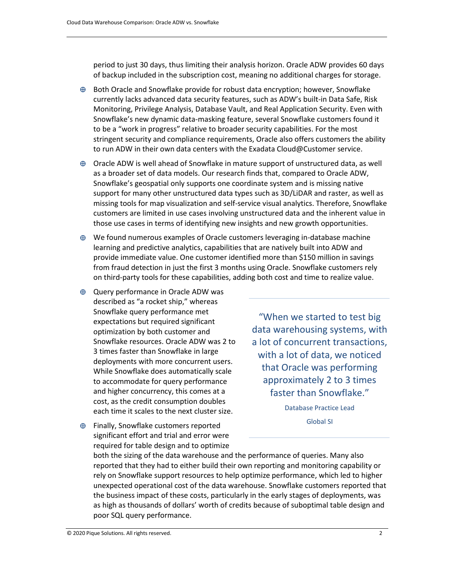period to just 30 days, thus limiting their analysis horizon. Oracle ADW provides 60 days of backup included in the subscription cost, meaning no additional charges for storage.

- $\oplus$  Both Oracle and Snowflake provide for robust data encryption; however, Snowflake currently lacks advanced data security features, such as ADW's built-in Data Safe, Risk Monitoring, Privilege Analysis, Database Vault, and Real Application Security. Even with Snowflake's new dynamic data-masking feature, several Snowflake customers found it to be a "work in progress" relative to broader security capabilities. For the most stringent security and compliance requirements, Oracle also offers customers the ability to run ADW in their own data centers with the Exadata Cloud@Customer service.
- $\oplus$  Oracle ADW is well ahead of Snowflake in mature support of unstructured data, as well as a broader set of data models. Our research finds that, compared to Oracle ADW, Snowflake's geospatial only supports one coordinate system and is missing native support for many other unstructured data types such as 3D/LiDAR and raster, as well as missing tools for map visualization and self-service visual analytics. Therefore, Snowflake customers are limited in use cases involving unstructured data and the inherent value in those use cases in terms of identifying new insights and new growth opportunities.
- $\oplus$  We found numerous examples of Oracle customers leveraging in-database machine learning and predictive analytics, capabilities that are natively built into ADW and provide immediate value. One customer identified more than \$150 million in savings from fraud detection in just the first 3 months using Oracle. Snowflake customers rely on third-party tools for these capabilities, adding both cost and time to realize value.
- $\oplus$  Query performance in Oracle ADW was described as "a rocket ship," whereas Snowflake query performance met expectations but required significant optimization by both customer and Snowflake resources. Oracle ADW was 2 to 3 times faster than Snowflake in large deployments with more concurrent users. While Snowflake does automatically scale to accommodate for query performance and higher concurrency, this comes at a cost, as the credit consumption doubles each time it scales to the next cluster size.
- $\oplus$  Finally, Snowflake customers reported significant effort and trial and error were required for table design and to optimize

"When we started to test big data warehousing systems, with a lot of concurrent transactions, with a lot of data, we noticed that Oracle was performing approximately 2 to 3 times faster than Snowflake."

> Database Practice Lead Global SI

both the sizing of the data warehouse and the performance of queries. Many also reported that they had to either build their own reporting and monitoring capability or rely on Snowflake support resources to help optimize performance, which led to higher unexpected operational cost of the data warehouse. Snowflake customers reported that the business impact of these costs, particularly in the early stages of deployments, was as high as thousands of dollars' worth of credits because of suboptimal table design and poor SQL query performance.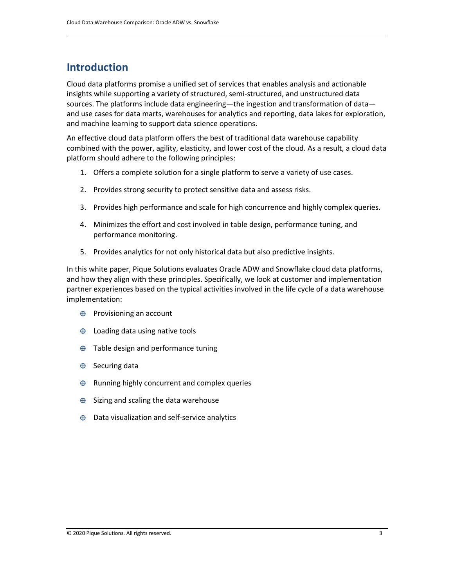## <span id="page-4-0"></span>**Introduction**

Cloud data platforms promise a unified set of services that enables analysis and actionable insights while supporting a variety of structured, semi-structured, and unstructured data sources. The platforms include data engineering—the ingestion and transformation of data and use cases for data marts, warehouses for analytics and reporting, data lakes for exploration, and machine learning to support data science operations.

An effective cloud data platform offers the best of traditional data warehouse capability combined with the power, agility, elasticity, and lower cost of the cloud. As a result, a cloud data platform should adhere to the following principles:

- 1. Offers a complete solution for a single platform to serve a variety of use cases.
- 2. Provides strong security to protect sensitive data and assess risks.
- 3. Provides high performance and scale for high concurrence and highly complex queries.
- 4. Minimizes the effort and cost involved in table design, performance tuning, and performance monitoring.
- 5. Provides analytics for not only historical data but also predictive insights.

In this white paper, Pique Solutions evaluates Oracle ADW and Snowflake cloud data platforms, and how they align with these principles. Specifically, we look at customer and implementation partner experiences based on the typical activities involved in the life cycle of a data warehouse implementation:

- $\oplus$  Provisioning an account
- $\oplus$  Loading data using native tools
- $\oplus$  Table design and performance tuning
- $\oplus$  Securing data
- $\oplus$  Running highly concurrent and complex queries
- $\oplus$  Sizing and scaling the data warehouse
- $\oplus$  Data visualization and self-service analytics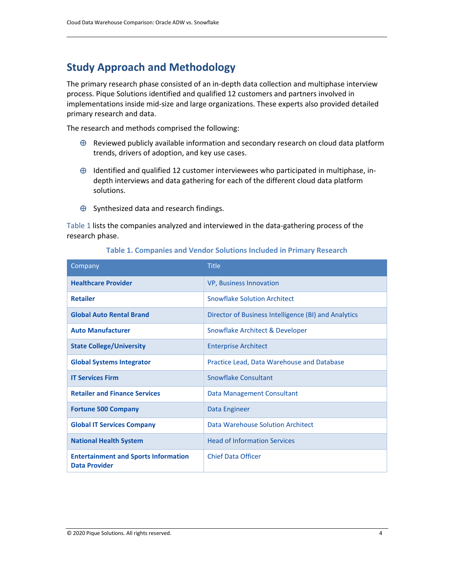## <span id="page-5-0"></span>**Study Approach and Methodology**

The primary research phase consisted of an in-depth data collection and multiphase interview process. Pique Solutions identified and qualified 12 customers and partners involved in implementations inside mid-size and large organizations. These experts also provided detailed primary research and data.

The research and methods comprised the following:

- $\oplus$  Reviewed publicly available information and secondary research on cloud data platform trends, drivers of adoption, and key use cases.
- $\oplus$  Identified and qualified 12 customer interviewees who participated in multiphase, indepth interviews and data gathering for each of the different cloud data platform solutions.
- $\oplus$  Synthesized data and research findings.

Table 1 lists the companies analyzed and interviewed in the data-gathering process of the research phase.

| Company                                                             | <b>Title</b>                                         |
|---------------------------------------------------------------------|------------------------------------------------------|
| <b>Healthcare Provider</b>                                          | <b>VP, Business Innovation</b>                       |
| <b>Retailer</b>                                                     | Snowflake Solution Architect                         |
| <b>Global Auto Rental Brand</b>                                     | Director of Business Intelligence (BI) and Analytics |
| <b>Auto Manufacturer</b>                                            | Snowflake Architect & Developer                      |
| <b>State College/University</b>                                     | <b>Enterprise Architect</b>                          |
| <b>Global Systems Integrator</b>                                    | Practice Lead, Data Warehouse and Database           |
| <b>IT Services Firm</b>                                             | Snowflake Consultant                                 |
| <b>Retailer and Finance Services</b>                                | Data Management Consultant                           |
| <b>Fortune 500 Company</b>                                          | Data Engineer                                        |
| <b>Global IT Services Company</b>                                   | Data Warehouse Solution Architect                    |
| <b>National Health System</b>                                       | <b>Head of Information Services</b>                  |
| <b>Entertainment and Sports Information</b><br><b>Data Provider</b> | <b>Chief Data Officer</b>                            |

#### **Table 1. Companies and Vendor Solutions Included in Primary Research**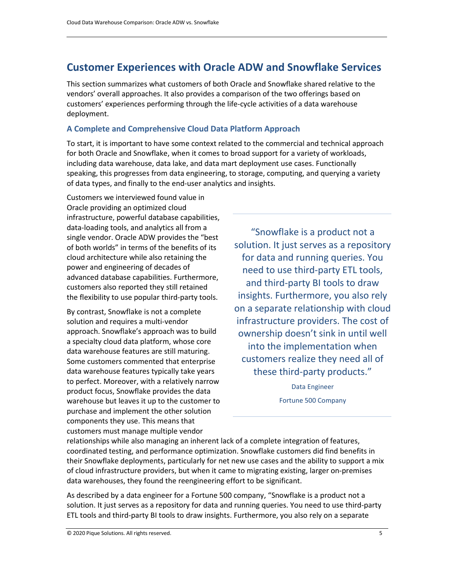## <span id="page-6-0"></span>**Customer Experiences with Oracle ADW and Snowflake Services**

This section summarizes what customers of both Oracle and Snowflake shared relative to the vendors' overall approaches. It also provides a comparison of the two offerings based on customers' experiences performing through the life-cycle activities of a data warehouse deployment.

#### <span id="page-6-1"></span>**A Complete and Comprehensive Cloud Data Platform Approach**

To start, it is important to have some context related to the commercial and technical approach for both Oracle and Snowflake, when it comes to broad support for a variety of workloads, including data warehouse, data lake, and data mart deployment use cases. Functionally speaking, this progresses from data engineering, to storage, computing, and querying a variety of data types, and finally to the end-user analytics and insights.

Customers we interviewed found value in Oracle providing an optimized cloud infrastructure, powerful database capabilities, data-loading tools, and analytics all from a single vendor. Oracle ADW provides the "best of both worlds" in terms of the benefits of its cloud architecture while also retaining the power and engineering of decades of advanced database capabilities. Furthermore, customers also reported they still retained the flexibility to use popular third-party tools.

By contrast, Snowflake is not a complete solution and requires a multi-vendor approach. Snowflake's approach was to build a specialty cloud data platform, whose core data warehouse features are still maturing. Some customers commented that enterprise data warehouse features typically take years to perfect. Moreover, with a relatively narrow product focus, Snowflake provides the data warehouse but leaves it up to the customer to purchase and implement the other solution components they use. This means that customers must manage multiple vendor

"Snowflake is a product not a solution. It just serves as a repository for data and running queries. You need to use third-party ETL tools, and third-party BI tools to draw insights. Furthermore, you also rely on a separate relationship with cloud infrastructure providers. The cost of ownership doesn't sink in until well into the implementation when customers realize they need all of these third-party products."

> Data Engineer Fortune 500 Company

relationships while also managing an inherent lack of a complete integration of features, coordinated testing, and performance optimization. Snowflake customers did find benefits in their Snowflake deployments, particularly for net new use cases and the ability to support a mix of cloud infrastructure providers, but when it came to migrating existing, larger on-premises data warehouses, they found the reengineering effort to be significant.

As described by a data engineer for a Fortune 500 company, "Snowflake is a product not a solution. It just serves as a repository for data and running queries. You need to use third-party ETL tools and third-party BI tools to draw insights. Furthermore, you also rely on a separate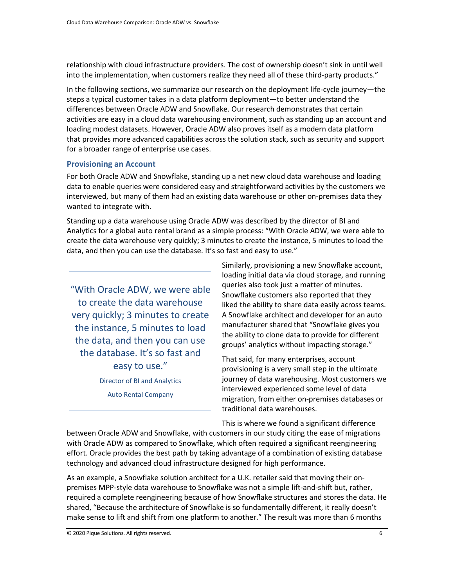relationship with cloud infrastructure providers. The cost of ownership doesn't sink in until well into the implementation, when customers realize they need all of these third-party products."

In the following sections, we summarize our research on the deployment life-cycle journey―the steps a typical customer takes in a data platform deployment—to better understand the differences between Oracle ADW and Snowflake. Our research demonstrates that certain activities are easy in a cloud data warehousing environment, such as standing up an account and loading modest datasets. However, Oracle ADW also proves itself as a modern data platform that provides more advanced capabilities across the solution stack, such as security and support for a broader range of enterprise use cases.

#### <span id="page-7-0"></span>**Provisioning an Account**

For both Oracle ADW and Snowflake, standing up a net new cloud data warehouse and loading data to enable queries were considered easy and straightforward activities by the customers we interviewed, but many of them had an existing data warehouse or other on-premises data they wanted to integrate with.

Standing up a data warehouse using Oracle ADW was described by the director of BI and Analytics for a global auto rental brand as a simple process: "With Oracle ADW, we were able to create the data warehouse very quickly; 3 minutes to create the instance, 5 minutes to load the data, and then you can use the database. It's so fast and easy to use."

"With Oracle ADW, we were able to create the data warehouse very quickly; 3 minutes to create the instance, 5 minutes to load the data, and then you can use the database. It's so fast and easy to use."

> Director of BI and Analytics Auto Rental Company

Similarly, provisioning a new Snowflake account, loading initial data via cloud storage, and running queries also took just a matter of minutes. Snowflake customers also reported that they liked the ability to share data easily across teams. A Snowflake architect and developer for an auto manufacturer shared that "Snowflake gives you the ability to clone data to provide for different groups' analytics without impacting storage."

That said, for many enterprises, account provisioning is a very small step in the ultimate journey of data warehousing. Most customers we interviewed experienced some level of data migration, from either on-premises databases or traditional data warehouses.

This is where we found a significant difference

between Oracle ADW and Snowflake, with customers in our study citing the ease of migrations with Oracle ADW as compared to Snowflake, which often required a significant reengineering effort. Oracle provides the best path by taking advantage of a combination of existing database technology and advanced cloud infrastructure designed for high performance.

As an example, a Snowflake solution architect for a U.K. retailer said that moving their onpremises MPP-style data warehouse to Snowflake was not a simple lift-and-shift but, rather, required a complete reengineering because of how Snowflake structures and stores the data. He shared, "Because the architecture of Snowflake is so fundamentally different, it really doesn't make sense to lift and shift from one platform to another." The result was more than 6 months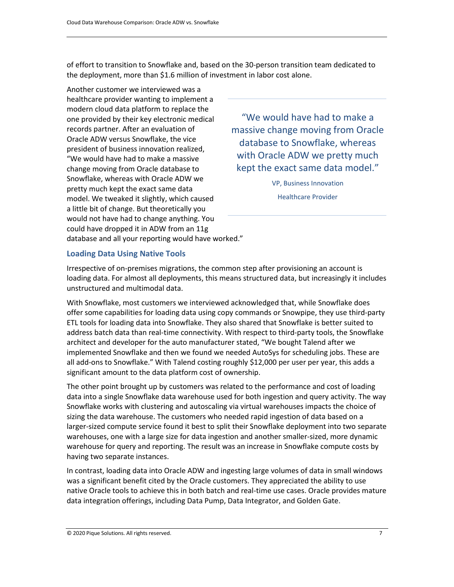of effort to transition to Snowflake and, based on the 30-person transition team dedicated to the deployment, more than \$1.6 million of investment in labor cost alone.

Another customer we interviewed was a healthcare provider wanting to implement a modern cloud data platform to replace the one provided by their key electronic medical records partner. After an evaluation of Oracle ADW versus Snowflake, the vice president of business innovation realized, "We would have had to make a massive change moving from Oracle database to Snowflake, whereas with Oracle ADW we pretty much kept the exact same data model. We tweaked it slightly, which caused a little bit of change. But theoretically you would not have had to change anything. You could have dropped it in ADW from an 11g database and all your reporting would have worked."

"We would have had to make a massive change moving from Oracle database to Snowflake, whereas with Oracle ADW we pretty much kept the exact same data model."

> VP, Business Innovation Healthcare Provider

#### <span id="page-8-0"></span>**Loading Data Using Native Tools**

Irrespective of on-premises migrations, the common step after provisioning an account is loading data. For almost all deployments, this means structured data, but increasingly it includes unstructured and multimodal data.

With Snowflake, most customers we interviewed acknowledged that, while Snowflake does offer some capabilities for loading data using copy commands or Snowpipe, they use third-party ETL tools for loading data into Snowflake. They also shared that Snowflake is better suited to address batch data than real-time connectivity. With respect to third-party tools, the Snowflake architect and developer for the auto manufacturer stated, "We bought Talend after we implemented Snowflake and then we found we needed AutoSys for scheduling jobs. These are all add-ons to Snowflake." With Talend costing roughly \$12,000 per user per year, this adds a significant amount to the data platform cost of ownership.

The other point brought up by customers was related to the performance and cost of loading data into a single Snowflake data warehouse used for both ingestion and query activity. The way Snowflake works with clustering and autoscaling via virtual warehouses impacts the choice of sizing the data warehouse. The customers who needed rapid ingestion of data based on a larger-sized compute service found it best to split their Snowflake deployment into two separate warehouses, one with a large size for data ingestion and another smaller-sized, more dynamic warehouse for query and reporting. The result was an increase in Snowflake compute costs by having two separate instances.

In contrast, loading data into Oracle ADW and ingesting large volumes of data in small windows was a significant benefit cited by the Oracle customers. They appreciated the ability to use native Oracle tools to achieve this in both batch and real-time use cases. Oracle provides mature data integration offerings, including Data Pump, Data Integrator, and Golden Gate.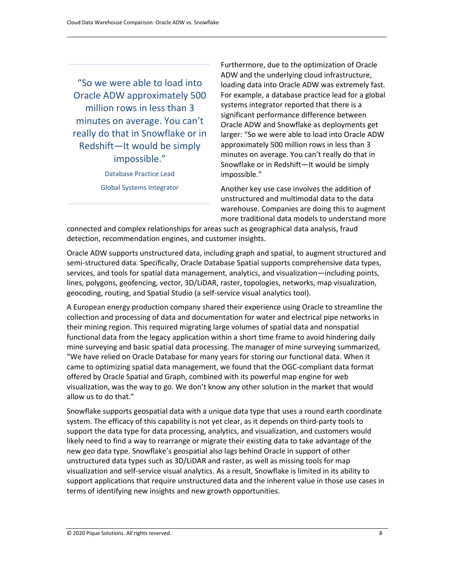"So we were able to load into Oracle ADW approximately 500 million rows in less than 3 minutes on average. You can't really do that in Snowflake or in Redshift—It would be simply impossible."

> Database Practice Lead Global Systems Integrator

Furthermore, due to the optimization of Oracle ADW and the underlying cloud infrastructure, loading data into Oracle ADW was extremely fast. For example, a database practice lead for a global systems integrator reported that there is a significant performance difference between Oracle ADW and Snowflake as deployments get larger: "So we were able to load into Oracle ADW approximately 500 million rows in less than 3 minutes on average. You can't really do that in Snowflake or in Redshift—It would be simply impossible."

Another key use case involves the addition of unstructured and multimodal data to the data warehouse. Companies are doing this to augment more traditional data models to understand more

connected and complex relationships for areas such as geographical data analysis, fraud detection, recommendation engines, and customer insights.

Oracle ADW supports unstructured data, including graph and spatial, to augment structured and semi-structured data. Specifically, Oracle Database Spatial supports comprehensive data types, services, and tools for spatial data management, analytics, and visualization—including points, lines, polygons, geofencing, vector, 3D/LiDAR, raster, topologies, networks, map visualization, geocoding, routing, and Spatial Studio (a self-service visual analytics tool).

A European energy production company shared their experience using Oracle to streamline the collection and processing of data and documentation for water and electrical pipe networks in their mining region. This required migrating large volumes of spatial data and nonspatial functional data from the legacy application within a short time frame to avoid hindering daily mine surveying and basic spatial data processing. The manager of mine surveying summarized, "We have relied on Oracle Database for many years for storing our functional data. When it came to optimizing spatial data management, we found that the OGC-compliant data format offered by Oracle Spatial and Graph, combined with its powerful map engine for web visualization, was the way to go. We don't know any other solution in the market that would allow us to do that."

<span id="page-9-0"></span>Snowflake supports geospatial data with a unique data type that uses a round earth coordinate system. The efficacy of this capability is not yet clear, as it depends on third-party tools to support the data type for data processing, analytics, and visualization, and customers would likely need to find a way to rearrange or migrate their existing data to take advantage of the new geo data type. Snowflake's geospatial also lags behind Oracle in support of other unstructured data types such as 3D/LiDAR and raster, as well as missing tools for map visualization and self-service visual analytics. As a result, Snowflake is limited in its ability to support applications that require unstructured data and the inherent value in those use cases in terms of identifying new insights and new growth opportunities.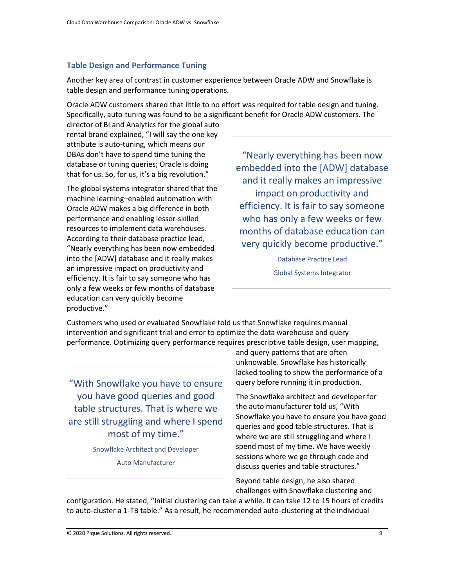#### **Table Design and Performance Tuning**

Another key area of contrast in customer experience between Oracle ADW and Snowflake is table design and performance tuning operations.

Oracle ADW customers shared that little to no effort was required for table design and tuning. Specifically, auto-tuning was found to be a significant benefit for Oracle ADW customers. The

director of BI and Analytics for the global auto rental brand explained, "I will say the one key attribute is auto-tuning, which means our DBAs don't have to spend time tuning the database or tuning queries; Oracle is doing that for us. So, for us, it's a big revolution."

The global systems integrator shared that the machine learning–enabled automation with Oracle ADW makes a big difference in both performance and enabling lesser-skilled resources to implement data warehouses. According to their database practice lead, "Nearly everything has been now embedded into the [ADW] database and it really makes an impressive impact on productivity and efficiency. It is fair to say someone who has only a few weeks or few months of database education can very quickly become productive."

"Nearly everything has been now embedded into the [ADW] database and it really makes an impressive impact on productivity and efficiency. It is fair to say someone who has only a few weeks or few months of database education can very quickly become productive."

> Database Practice Lead Global Systems Integrator

Customers who used or evaluated Snowflake told us that Snowflake requires manual intervention and significant trial and error to optimize the data warehouse and query performance. Optimizing query performance requires prescriptive table design, user mapping,

"With Snowflake you have to ensure you have good queries and good table structures. That is where we are still struggling and where I spend most of my time."

Snowflake Architect and Developer

Auto Manufacturer

and query patterns that are often unknowable. Snowflake has historically lacked tooling to show the performance of a query before running it in production.

The Snowflake architect and developer for the auto manufacturer told us, "With Snowflake you have to ensure you have good queries and good table structures. That is where we are still struggling and where I spend most of my time. We have weekly sessions where we go through code and discuss queries and table structures."

Beyond table design, he also shared challenges with Snowflake clustering and

configuration. He stated, "Initial clustering can take a while. It can take 12 to 15 hours of credits to auto-cluster a 1-TB table." As a result, he recommended auto-clustering at the individual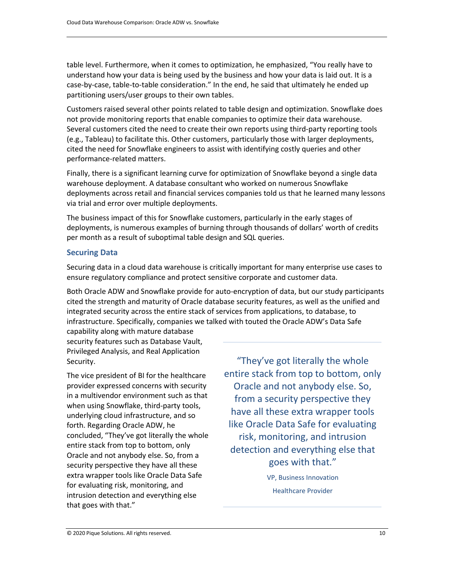table level. Furthermore, when it comes to optimization, he emphasized, "You really have to understand how your data is being used by the business and how your data is laid out. It is a case-by-case, table-to-table consideration." In the end, he said that ultimately he ended up partitioning users/user groups to their own tables.

Customers raised several other points related to table design and optimization. Snowflake does not provide monitoring reports that enable companies to optimize their data warehouse. Several customers cited the need to create their own reports using third-party reporting tools (e.g., Tableau) to facilitate this. Other customers, particularly those with larger deployments, cited the need for Snowflake engineers to assist with identifying costly queries and other performance-related matters.

Finally, there is a significant learning curve for optimization of Snowflake beyond a single data warehouse deployment. A database consultant who worked on numerous Snowflake deployments across retail and financial services companies told us that he learned many lessons via trial and error over multiple deployments.

The business impact of this for Snowflake customers, particularly in the early stages of deployments, is numerous examples of burning through thousands of dollars' worth of credits per month as a result of suboptimal table design and SQL queries.

#### <span id="page-11-0"></span>**Securing Data**

Securing data in a cloud data warehouse is critically important for many enterprise use cases to ensure regulatory compliance and protect sensitive corporate and customer data.

Both Oracle ADW and Snowflake provide for auto-encryption of data, but our study participants cited the strength and maturity of Oracle database security features, as well as the unified and integrated security across the entire stack of services from applications, to database, to infrastructure. Specifically, companies we talked with touted the Oracle ADW's Data Safe

capability along with mature database security features such as Database Vault, Privileged Analysis, and Real Application Security.

The vice president of BI for the healthcare provider expressed concerns with security in a multivendor environment such as that when using Snowflake, third-party tools, underlying cloud infrastructure, and so forth. Regarding Oracle ADW, he concluded, "They've got literally the whole entire stack from top to bottom, only Oracle and not anybody else. So, from a security perspective they have all these extra wrapper tools like Oracle Data Safe for evaluating risk, monitoring, and intrusion detection and everything else that goes with that."

"They've got literally the whole entire stack from top to bottom, only Oracle and not anybody else. So, from a security perspective they have all these extra wrapper tools like Oracle Data Safe for evaluating risk, monitoring, and intrusion detection and everything else that goes with that."

> VP, Business Innovation Healthcare Provider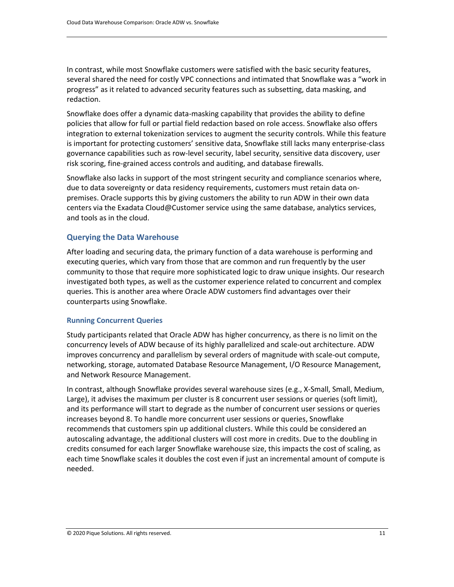In contrast, while most Snowflake customers were satisfied with the basic security features, several shared the need for costly VPC connections and intimated that Snowflake was a "work in progress" as it related to advanced security features such as subsetting, data masking, and redaction.

Snowflake does offer a dynamic data-masking capability that provides the ability to define policies that allow for full or partial field redaction based on role access. Snowflake also offers integration to external tokenization services to augment the security controls. While this feature is important for protecting customers' sensitive data, Snowflake still lacks many enterprise-class governance capabilities such as row-level security, label security, sensitive data discovery, user risk scoring, fine-grained access controls and auditing, and database firewalls.

Snowflake also lacks in support of the most stringent security and compliance scenarios where, due to data sovereignty or data residency requirements, customers must retain data onpremises. Oracle supports this by giving customers the ability to run ADW in their own data centers via the Exadata Cloud@Customer service using the same database, analytics services, and tools as in the cloud.

#### <span id="page-12-0"></span>**Querying the Data Warehouse**

After loading and securing data, the primary function of a data warehouse is performing and executing queries, which vary from those that are common and run frequently by the user community to those that require more sophisticated logic to draw unique insights. Our research investigated both types, as well as the customer experience related to concurrent and complex queries. This is another area where Oracle ADW customers find advantages over their counterparts using Snowflake.

#### <span id="page-12-1"></span>**Running Concurrent Queries**

Study participants related that Oracle ADW has higher concurrency, as there is no limit on the concurrency levels of ADW because of its highly parallelized and scale-out architecture. ADW improves concurrency and parallelism by several orders of magnitude with scale-out compute, networking, storage, automated Database Resource Management, I/O Resource Management, and Network Resource Management.

In contrast, although Snowflake provides several warehouse sizes (e.g., X-Small, Small, Medium, Large), it advises the maximum per cluster is 8 concurrent user sessions or queries (soft limit), and its performance will start to degrade as the number of concurrent user sessions or queries increases beyond 8. To handle more concurrent user sessions or queries, Snowflake recommends that customers spin up additional clusters. While this could be considered an autoscaling advantage, the additional clusters will cost more in credits. Due to the doubling in credits consumed for each larger Snowflake warehouse size, this impacts the cost of scaling, as each time Snowflake scales it doubles the cost even if just an incremental amount of compute is needed.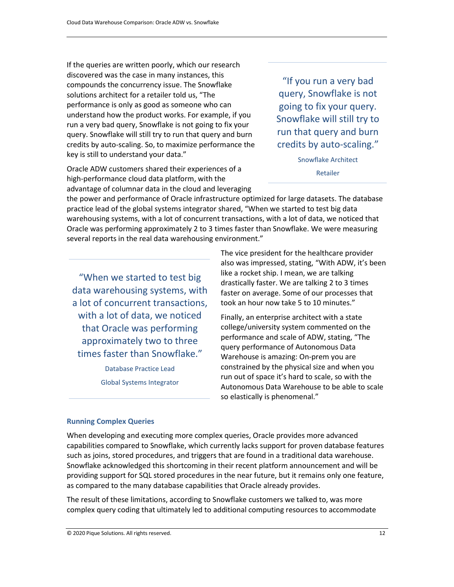If the queries are written poorly, which our research discovered was the case in many instances, this compounds the concurrency issue. The Snowflake solutions architect for a retailer told us, "The performance is only as good as someone who can understand how the product works. For example, if you run a very bad query, Snowflake is not going to fix your query. Snowflake will still try to run that query and burn credits by auto-scaling. So, to maximize performance the key is still to understand your data."

Oracle ADW customers shared their experiences of a high-performance cloud data platform, with the advantage of columnar data in the cloud and leveraging

"If you run a very bad query, Snowflake is not going to fix your query. Snowflake will still try to run that query and burn credits by auto-scaling."

> Snowflake Architect Retailer

the power and performance of Oracle infrastructure optimized for large datasets. The database practice lead of the global systems integrator shared, "When we started to test big data warehousing systems, with a lot of concurrent transactions, with a lot of data, we noticed that Oracle was performing approximately 2 to 3 times faster than Snowflake. We were measuring several reports in the real data warehousing environment."

"When we started to test big data warehousing systems, with a lot of concurrent transactions, with a lot of data, we noticed that Oracle was performing approximately two to three times faster than Snowflake."

> Database Practice Lead Global Systems Integrator

The vice president for the healthcare provider also was impressed, stating, "With ADW, it's been like a rocket ship. I mean, we are talking drastically faster. We are talking 2 to 3 times faster on average. Some of our processes that took an hour now take 5 to 10 minutes."

<span id="page-13-0"></span>Finally, an enterprise architect with a state college/university system commented on the performance and scale of ADW, stating, "The query performance of Autonomous Data Warehouse is amazing: On-prem you are constrained by the physical size and when you run out of space it's hard to scale, so with the Autonomous Data Warehouse to be able to scale so elastically is phenomenal."

#### **Running Complex Queries**

When developing and executing more complex queries, Oracle provides more advanced capabilities compared to Snowflake, which currently lacks support for proven database features such as joins, stored procedures, and triggers that are found in a traditional data warehouse. Snowflake acknowledged this shortcoming in their recent platform announcement and will be providing support for SQL stored procedures in the near future, but it remains only one feature, as compared to the many database capabilities that Oracle already provides.

The result of these limitations, according to Snowflake customers we talked to, was more complex query coding that ultimately led to additional computing resources to accommodate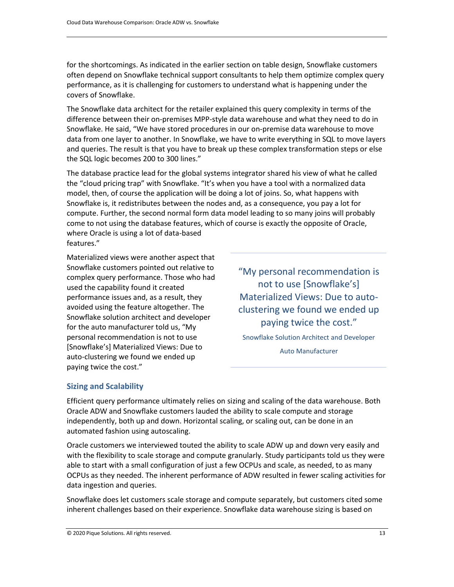for the shortcomings. As indicated in the earlier section on table design, Snowflake customers often depend on Snowflake technical support consultants to help them optimize complex query performance, as it is challenging for customers to understand what is happening under the covers of Snowflake.

The Snowflake data architect for the retailer explained this query complexity in terms of the difference between their on-premises MPP-style data warehouse and what they need to do in Snowflake. He said, "We have stored procedures in our on-premise data warehouse to move data from one layer to another. In Snowflake, we have to write everything in SQL to move layers and queries. The result is that you have to break up these complex transformation steps or else the SQL logic becomes 200 to 300 lines."

The database practice lead for the global systems integrator shared his view of what he called the "cloud pricing trap" with Snowflake. "It's when you have a tool with a normalized data model, then, of course the application will be doing a lot of joins. So, what happens with Snowflake is, it redistributes between the nodes and, as a consequence, you pay a lot for compute. Further, the second normal form data model leading to so many joins will probably come to not using the database features, which of course is exactly the opposite of Oracle, where Oracle is using a lot of data-based

features."

Materialized views were another aspect that Snowflake customers pointed out relative to complex query performance. Those who had used the capability found it created performance issues and, as a result, they avoided using the feature altogether. The Snowflake solution architect and developer for the auto manufacturer told us, "My personal recommendation is not to use [Snowflake's] Materialized Views: Due to auto-clustering we found we ended up paying twice the cost."

"My personal recommendation is not to use [Snowflake's] Materialized Views: Due to autoclustering we found we ended up paying twice the cost."

Snowflake Solution Architect and Developer

Auto Manufacturer

#### <span id="page-14-0"></span>**Sizing and Scalability**

Efficient query performance ultimately relies on sizing and scaling of the data warehouse. Both Oracle ADW and Snowflake customers lauded the ability to scale compute and storage independently, both up and down. Horizontal scaling, or scaling out, can be done in an automated fashion using autoscaling.

Oracle customers we interviewed touted the ability to scale ADW up and down very easily and with the flexibility to scale storage and compute granularly. Study participants told us they were able to start with a small configuration of just a few OCPUs and scale, as needed, to as many OCPUs as they needed. The inherent performance of ADW resulted in fewer scaling activities for data ingestion and queries.

Snowflake does let customers scale storage and compute separately, but customers cited some inherent challenges based on their experience. Snowflake data warehouse sizing is based on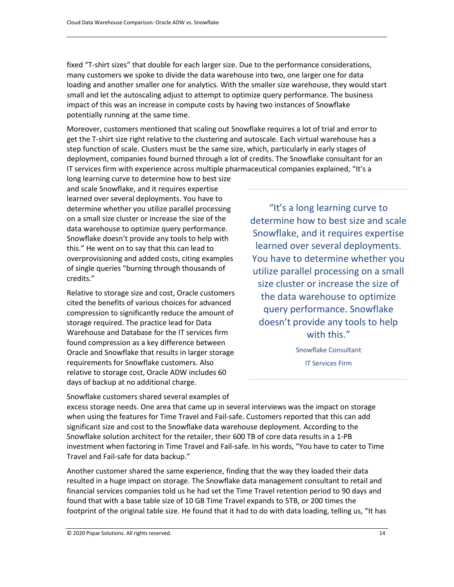fixed "T-shirt sizes" that double for each larger size. Due to the performance considerations, many customers we spoke to divide the data warehouse into two, one larger one for data loading and another smaller one for analytics. With the smaller size warehouse, they would start small and let the autoscaling adjust to attempt to optimize query performance. The business impact of this was an increase in compute costs by having two instances of Snowflake potentially running at the same time.

Moreover, customers mentioned that scaling out Snowflake requires a lot of trial and error to get the T-shirt size right relative to the clustering and autoscale. Each virtual warehouse has a step function of scale. Clusters must be the same size, which, particularly in early stages of deployment, companies found burned through a lot of credits. The Snowflake consultant for an IT services firm with experience across multiple pharmaceutical companies explained, "It's a

long learning curve to determine how to best size and scale Snowflake, and it requires expertise learned over several deployments. You have to determine whether you utilize parallel processing on a small size cluster or increase the size of the data warehouse to optimize query performance. Snowflake doesn't provide any tools to help with this." He went on to say that this can lead to overprovisioning and added costs, citing examples of single queries "burning through thousands of credits."

Relative to storage size and cost, Oracle customers cited the benefits of various choices for advanced compression to significantly reduce the amount of storage required. The practice lead for Data Warehouse and Database for the IT services firm found compression as a key difference between Oracle and Snowflake that results in larger storage requirements for Snowflake customers. Also relative to storage cost, Oracle ADW includes 60 days of backup at no additional charge.

"It's a long learning curve to determine how to best size and scale Snowflake, and it requires expertise learned over several deployments. You have to determine whether you utilize parallel processing on a small size cluster or increase the size of the data warehouse to optimize query performance. Snowflake doesn't provide any tools to help with this."

> Snowflake Consultant IT Services Firm

Snowflake customers shared several examples of excess storage needs. One area that came up in several interviews was the impact on storage when using the features for Time Travel and Fail-safe. Customers reported that this can add significant size and cost to the Snowflake data warehouse deployment. According to the Snowflake solution architect for the retailer, their 600 TB of core data results in a 1-PB investment when factoring in Time Travel and Fail-safe. In his words, "You have to cater to Time Travel and Fail-safe for data backup."

Another customer shared the same experience, finding that the way they loaded their data resulted in a huge impact on storage. The Snowflake data management consultant to retail and financial services companies told us he had set the Time Travel retention period to 90 days and found that with a base table size of 10 GB Time Travel expands to 5TB, or 200 times the footprint of the original table size. He found that it had to do with data loading, telling us, "It has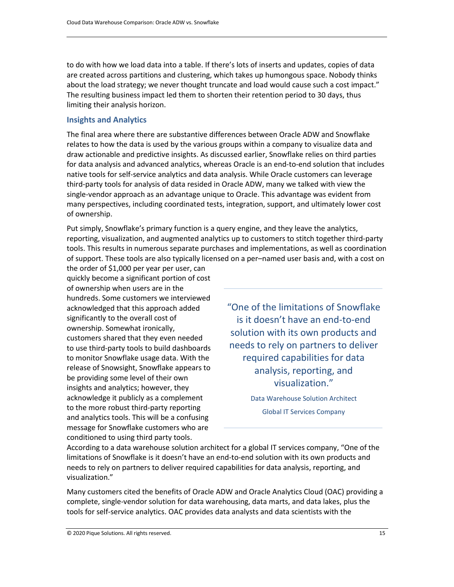to do with how we load data into a table. If there's lots of inserts and updates, copies of data are created across partitions and clustering, which takes up humongous space. Nobody thinks about the load strategy; we never thought truncate and load would cause such a cost impact." The resulting business impact led them to shorten their retention period to 30 days, thus limiting their analysis horizon.

#### <span id="page-16-0"></span>**Insights and Analytics**

The final area where there are substantive differences between Oracle ADW and Snowflake relates to how the data is used by the various groups within a company to visualize data and draw actionable and predictive insights. As discussed earlier, Snowflake relies on third parties for data analysis and advanced analytics, whereas Oracle is an end-to-end solution that includes native tools for self-service analytics and data analysis. While Oracle customers can leverage third-party tools for analysis of data resided in Oracle ADW, many we talked with view the single-vendor approach as an advantage unique to Oracle. This advantage was evident from many perspectives, including coordinated tests, integration, support, and ultimately lower cost of ownership.

Put simply, Snowflake's primary function is a query engine, and they leave the analytics, reporting, visualization, and augmented analytics up to customers to stitch together third-party tools. This results in numerous separate purchases and implementations, as well as coordination of support. These tools are also typically licensed on a per–named user basis and, with a cost on

the order of \$1,000 per year per user, can quickly become a significant portion of cost of ownership when users are in the hundreds. Some customers we interviewed acknowledged that this approach added significantly to the overall cost of ownership. Somewhat ironically, customers shared that they even needed to use third-party tools to build dashboards to monitor Snowflake usage data. With the release of Snowsight, Snowflake appears to be providing some level of their own insights and analytics; however, they acknowledge it publicly as a complement to the more robust third-party reporting and analytics tools. This will be a confusing message for Snowflake customers who are conditioned to using third party tools.

"One of the limitations of Snowflake is it doesn't have an end-to-end solution with its own products and needs to rely on partners to deliver required capabilities for data analysis, reporting, and visualization."

> Data Warehouse Solution Architect Global IT Services Company

According to a data warehouse solution architect for a global IT services company, "One of the limitations of Snowflake is it doesn't have an end-to-end solution with its own products and needs to rely on partners to deliver required capabilities for data analysis, reporting, and visualization."

Many customers cited the benefits of Oracle ADW and Oracle Analytics Cloud (OAC) providing a complete, single-vendor solution for data warehousing, data marts, and data lakes, plus the tools for self-service analytics. OAC provides data analysts and data scientists with the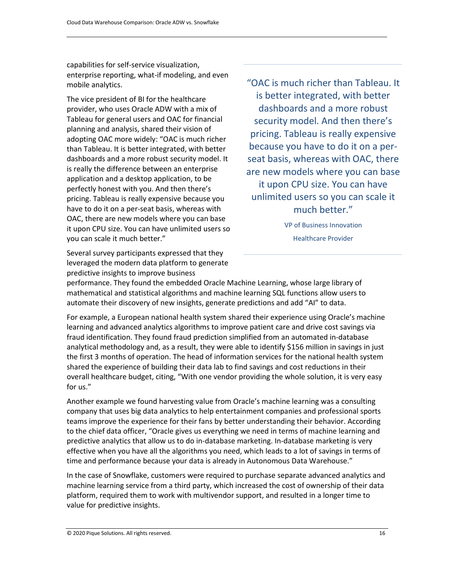capabilities for self-service visualization, enterprise reporting, what-if modeling, and even mobile analytics.

The vice president of BI for the healthcare provider, who uses Oracle ADW with a mix of Tableau for general users and OAC for financial planning and analysis, shared their vision of adopting OAC more widely: "OAC is much richer than Tableau. It is better integrated, with better dashboards and a more robust security model. It is really the difference between an enterprise application and a desktop application, to be perfectly honest with you. And then there's pricing. Tableau is really expensive because you have to do it on a per-seat basis, whereas with OAC, there are new models where you can base it upon CPU size. You can have unlimited users so you can scale it much better."

Several survey participants expressed that they leveraged the modern data platform to generate predictive insights to improve business

"OAC is much richer than Tableau. It is better integrated, with better dashboards and a more robust security model. And then there's pricing. Tableau is really expensive because you have to do it on a perseat basis, whereas with OAC, there are new models where you can base it upon CPU size. You can have unlimited users so you can scale it much better."

> VP of Business Innovation Healthcare Provider

performance. They found the embedded Oracle Machine Learning, whose large library of mathematical and statistical algorithms and machine learning SQL functions allow users to automate their discovery of new insights, generate predictions and add "AI" to data.

For example, a European national health system shared their experience using Oracle's machine learning and advanced analytics algorithms to improve patient care and drive cost savings via fraud identification. They found fraud prediction simplified from an automated in-database analytical methodology and, as a result, they were able to identify \$156 million in savings in just the first 3 months of operation. The head of information services for the national health system shared the experience of building their data lab to find savings and cost reductions in their overall healthcare budget, citing, "With one vendor providing the whole solution, it is very easy for us."

Another example we found harvesting value from Oracle's machine learning was a consulting company that uses big data analytics to help entertainment companies and professional sports teams improve the experience for their fans by better understanding their behavior. According to the chief data officer, "Oracle gives us everything we need in terms of machine learning and predictive analytics that allow us to do in-database marketing. In-database marketing is very effective when you have all the algorithms you need, which leads to a lot of savings in terms of time and performance because your data is already in Autonomous Data Warehouse."

In the case of Snowflake, customers were required to purchase separate advanced analytics and machine learning service from a third party, which increased the cost of ownership of their data platform, required them to work with multivendor support, and resulted in a longer time to value for predictive insights.